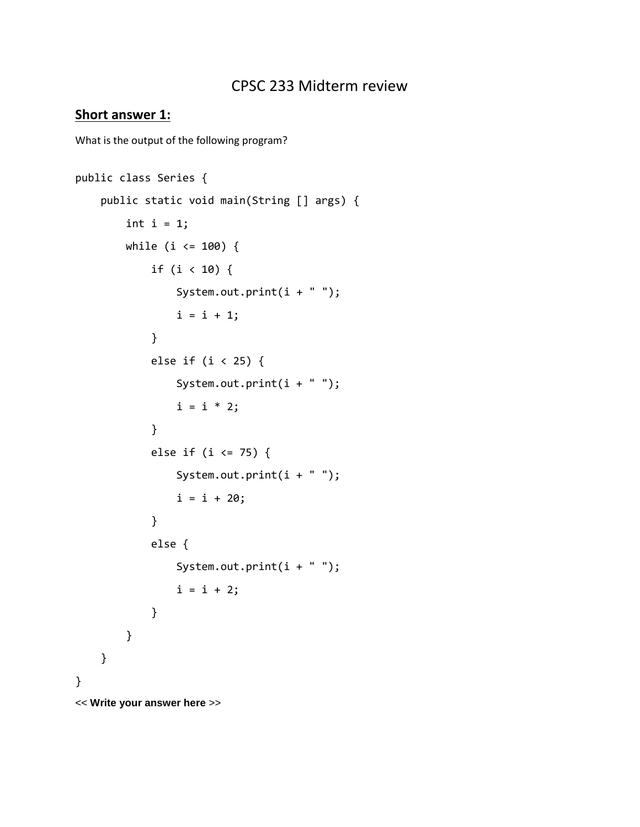# CPSC 233 Midterm review

### **Short answer 1:**

What is the output of the following program?

```
public class Series {
    public static void main(String [] args) {
       int i = 1;
       while (i \le 100) {
            if (i < 10) {
              System.out.print(i + " ");
              i = i + 1; }
            else if (i < 25) {
               System.out.print(i + " ");
               i = i * 2; }
            else if (i <= 75) {
                System.out.print(i + " ");
               i = i + 20; }
            else {
              System.out.print(i + " ");
               i = i + 2; }
        }
    }
}
<< Write your answer here >>
```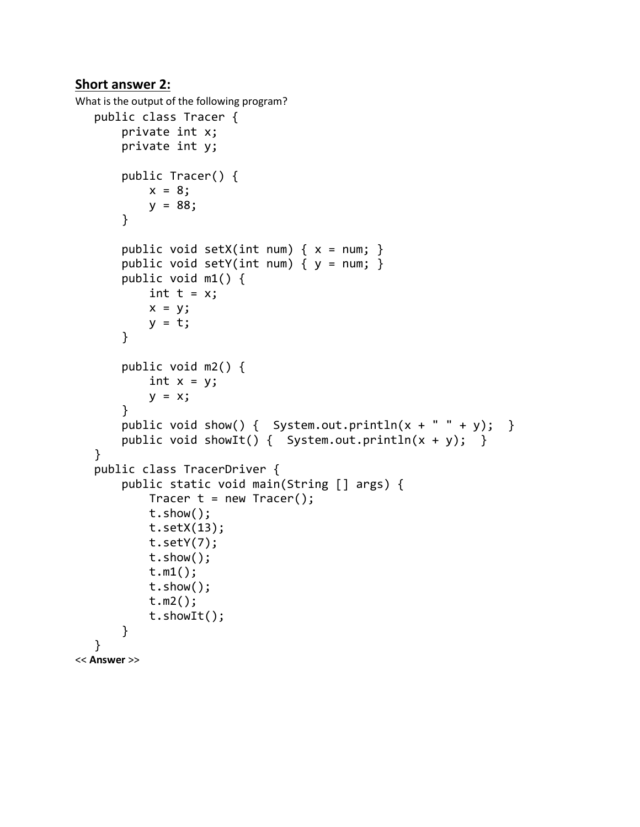### **Short answer 2:**

```
What is the output of the following program?
  public class Tracer {
        private int x;
        private int y;
        public Tracer() {
           x = 8;y = 88; }
       public void setX(int num) \{ x = num; \}public void setY(int num) \{ y = num; \} public void m1() {
           int t = x;
           x = y;y = t; }
        public void m2() {
           int x = y;
           y = x; }
       public void show() { System.out.println(x + " " + y); }
       public void showIt() { System.out.println(x + y); }
   }
   public class TracerDriver {
        public static void main(String [] args) {
           Tracer t = new Tracer();
            t.show();
            t.setX(13);
           t.setY(7); t.show();
            t.m1();
            t.show();
            t.m2();
            t.showIt();
        }
   }
<< Answer >>
```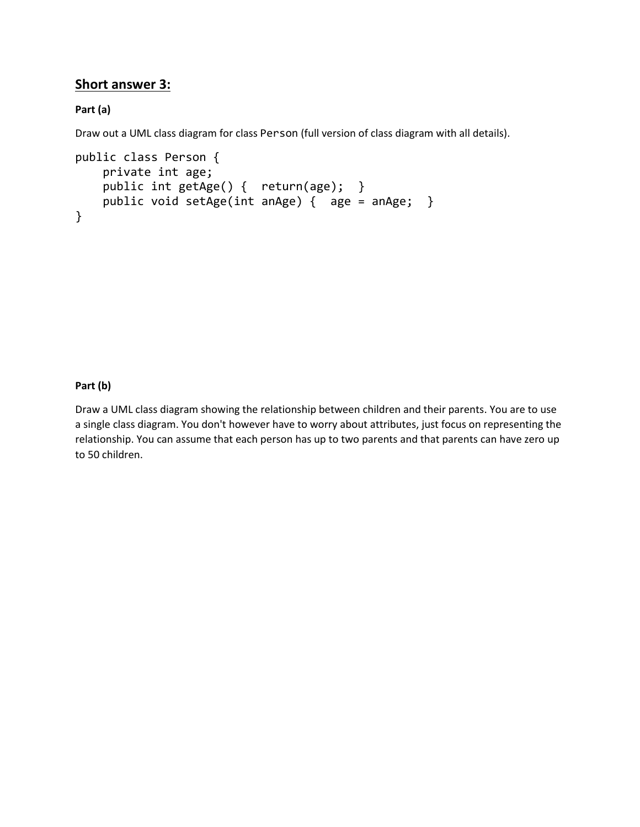## **Short answer 3:**

### **Part (a)**

Draw out a UML class diagram for class Person (full version of class diagram with all details).

```
public class Person {
    private int age;
   public int getAge() { return(age); }
    public void setAge(int anAge) { age = anAge; }
}
```
#### **Part (b)**

Draw a UML class diagram showing the relationship between children and their parents. You are to use a single class diagram. You don't however have to worry about attributes, just focus on representing the relationship. You can assume that each person has up to two parents and that parents can have zero up to 50 children.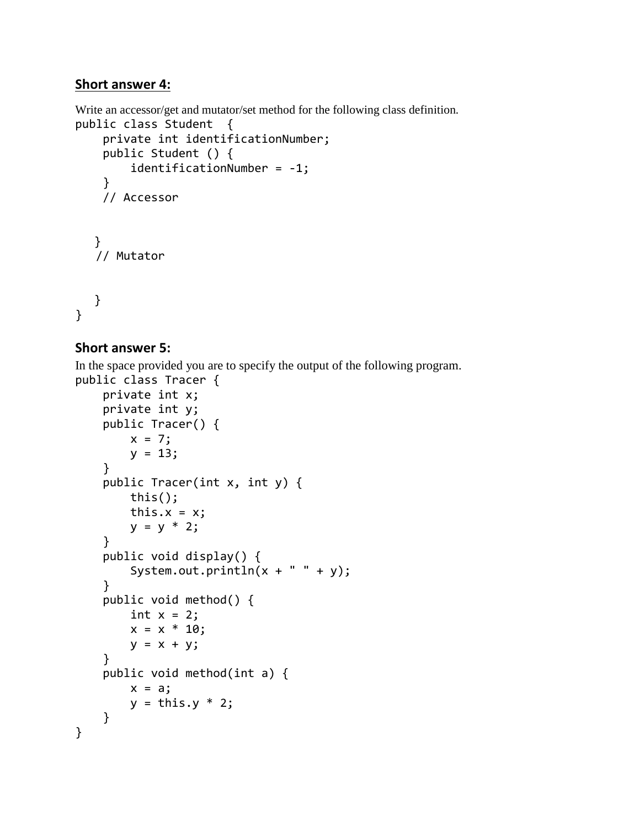## **Short answer 4:**

Write an accessor/get and mutator/set method for the following class definition.

```
public class Student { 
     private int identificationNumber; 
     public Student () { 
          identificationNumber = -1; 
     } 
     // Accessor 
   }
    // Mutator 
   }
}
```
### **Short answer 5:**

In the space provided you are to specify the output of the following program.

```
public class Tracer {
     private int x;
     private int y;
     public Tracer() {
        x = 7;y = 13; }
     public Tracer(int x, int y) {
         this();
        this.x = x;y = y * 2; }
     public void display() {
        System.out.println(x + " " + y); }
     public void method() {
        int x = 2;
        x = x * 10;y = x + y; }
     public void method(int a) {
        x = a;y = \text{this.y} * 2; }
}
```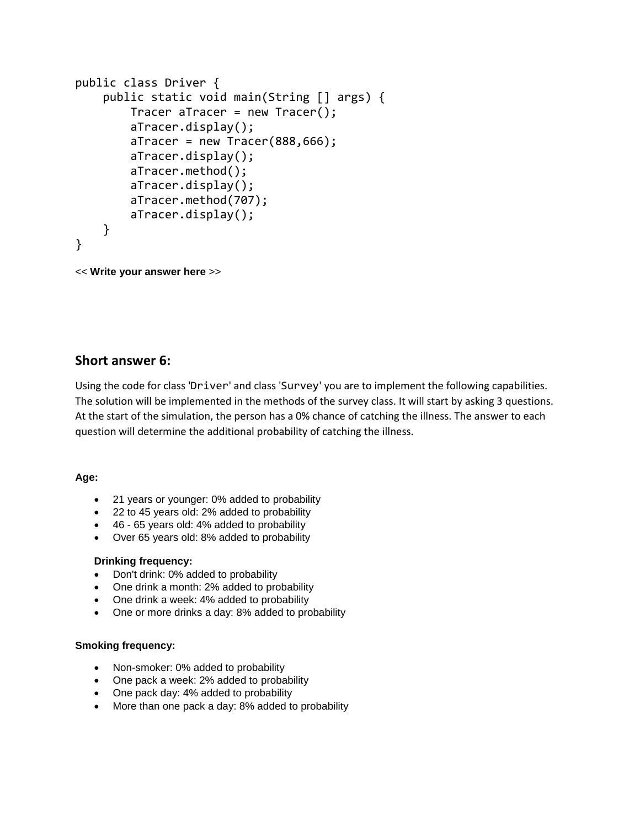```
public class Driver {
     public static void main(String [] args) {
        Tracer aTracer = new Tracer();
         aTracer.display();
        aTracer = new Trace(888,666); aTracer.display();
         aTracer.method();
         aTracer.display();
         aTracer.method(707);
         aTracer.display();
     }
}
```

```
<< Write your answer here >>
```
### **Short answer 6:**

Using the code for class 'Driver' and class 'Survey' you are to implement the following capabilities. The solution will be implemented in the methods of the survey class. It will start by asking 3 questions. At the start of the simulation, the person has a 0% chance of catching the illness. The answer to each question will determine the additional probability of catching the illness.

#### **Age:**

- 21 years or younger: 0% added to probability
- 22 to 45 years old: 2% added to probability
- 46 65 years old: 4% added to probability
- Over 65 years old: 8% added to probability

#### **Drinking frequency:**

- Don't drink: 0% added to probability
- One drink a month: 2% added to probability
- One drink a week: 4% added to probability
- One or more drinks a day: 8% added to probability

#### **Smoking frequency:**

- Non-smoker: 0% added to probability
- One pack a week: 2% added to probability
- One pack day: 4% added to probability
- More than one pack a day: 8% added to probability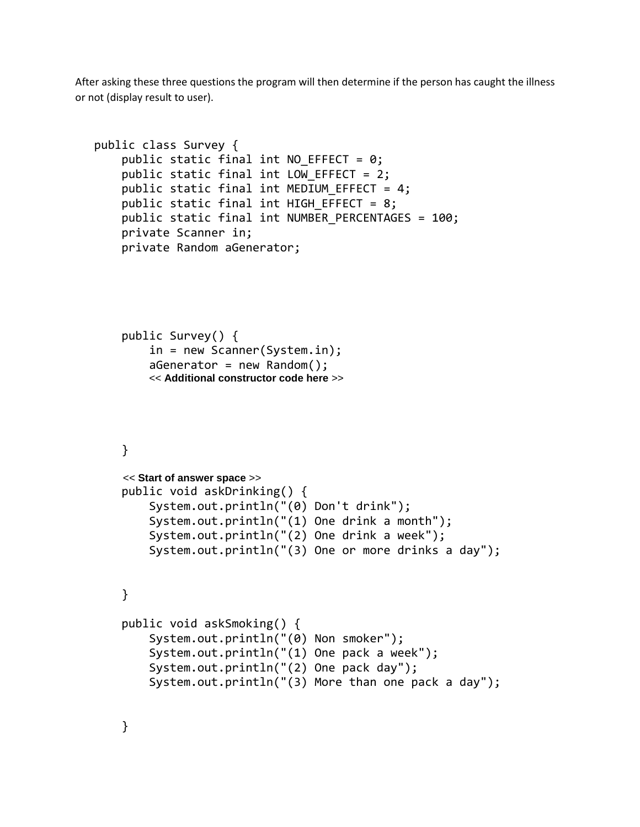After asking these three questions the program will then determine if the person has caught the illness or not (display result to user).

```
public class Survey {
    public static final int NO EFFECT = 0;
    public static final int LOW EFFECT = 2;
    public static final int MEDIUM EFFECT = 4;
    public static final int HIGH EFFECT = 8;
     public static final int NUMBER_PERCENTAGES = 100;
     private Scanner in;
     private Random aGenerator;
     public Survey() {
         in = new Scanner(System.in);
        aGenerator = new Random(); << Additional constructor code here >>
     }
     << Start of answer space >>
     public void askDrinking() {
         System.out.println("(0) Don't drink");
         System.out.println("(1) One drink a month");
         System.out.println("(2) One drink a week");
         System.out.println("(3) One or more drinks a day");
     }
     public void askSmoking() { 
         System.out.println("(0) Non smoker");
         System.out.println("(1) One pack a week");
         System.out.println("(2) One pack day");
         System.out.println("(3) More than one pack a day");
```
}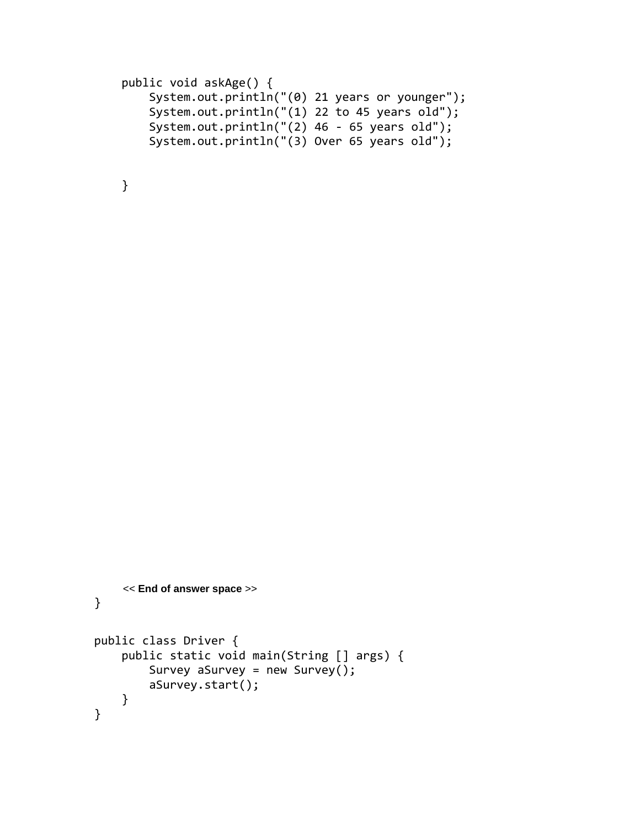```
 public void askAge() {
     System.out.println("(0) 21 years or younger");
     System.out.println("(1) 22 to 45 years old");
     System.out.println("(2) 46 - 65 years old");
     System.out.println("(3) Over 65 years old");
```
}

```
 << End of answer space >>
}
public class Driver {
     public static void main(String [] args) {
         Survey aSurvey = new Survey();
         aSurvey.start();
     }
}
```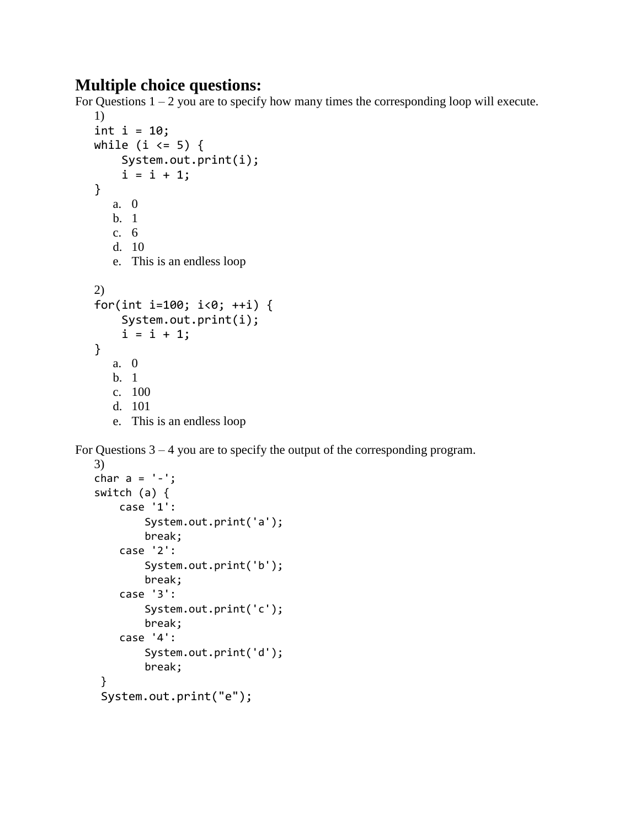# **Multiple choice questions:**

For Questions  $1 - 2$  you are to specify how many times the corresponding loop will execute.

```
1)
int i = 10;
while (i \le 5) {
     System.out.print(i);
    i = i + 1;}
   a. 0
   b. 1
  c. 6
   d. 10
  e. This is an endless loop
2)
for(int i=100; i<0; ++i) {
     System.out.print(i);
    i = i + 1;}
   a. 0
   b. 1
  c. 100
  d. 101
  e. This is an endless loop
```
For Questions  $3 - 4$  you are to specify the output of the corresponding program.

```
3)
char a = '-';
switch (a) {
     case '1':
         System.out.print('a');
         break;
     case '2':
         System.out.print('b');
         break;
     case '3':
         System.out.print('c');
         break;
     case '4':
         System.out.print('d');
         break;
 }
 System.out.print("e");
```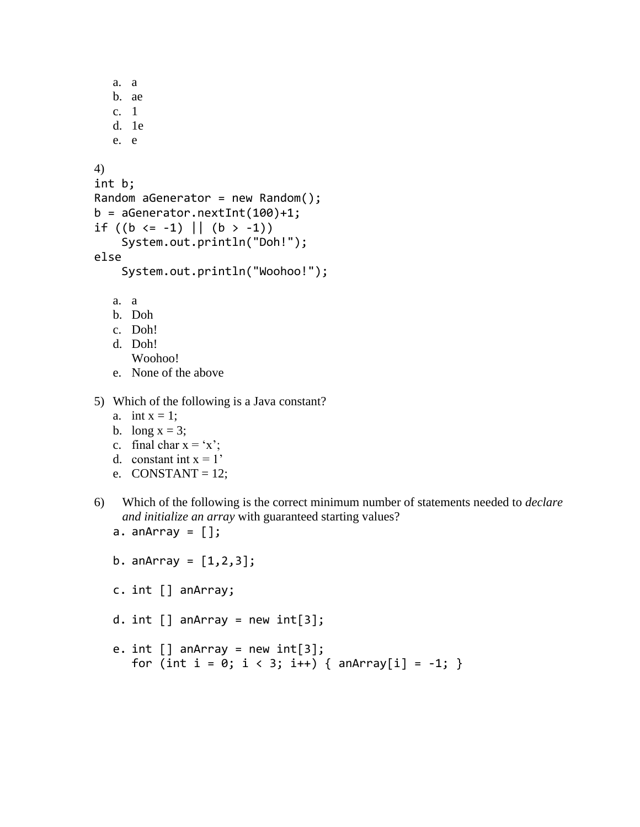```
a. a
  b. ae
  c. 1
  d. 1e
  e. e
4)
int b;
Random aGenerator = new Random();
b = aGenerator.nextInt(100)+1;if ((b \le -1) || (b > -1)) System.out.println("Doh!");
else
     System.out.println("Woohoo!");
  a. a
  b. Doh
  c. Doh!
  d. Doh!
     Woohoo!
```
- e. None of the above
- 5) Which of the following is a Java constant?
	- a. int  $x = 1$ ;
	- b. long  $x = 3$ ;
	- c. final char  $x = x'$ ;
	- d. constant int  $x = 1'$
	- e.  $CONSTANT = 12$ ;
- 6) Which of the following is the correct minimum number of statements needed to *declare and initialize an array* with guaranteed starting values?
	- a. an $Array = []$ ;

```
b. anArray = [1, 2, 3];
```
- c. int [] anArray;
- d. int  $[]$  anArray = new int $[3]$ ;
- e.  $int [$ ] anArray = new  $int[3]$ ; for (int i = 0; i < 3; i++) {  $anArray[i] = -1$ ; }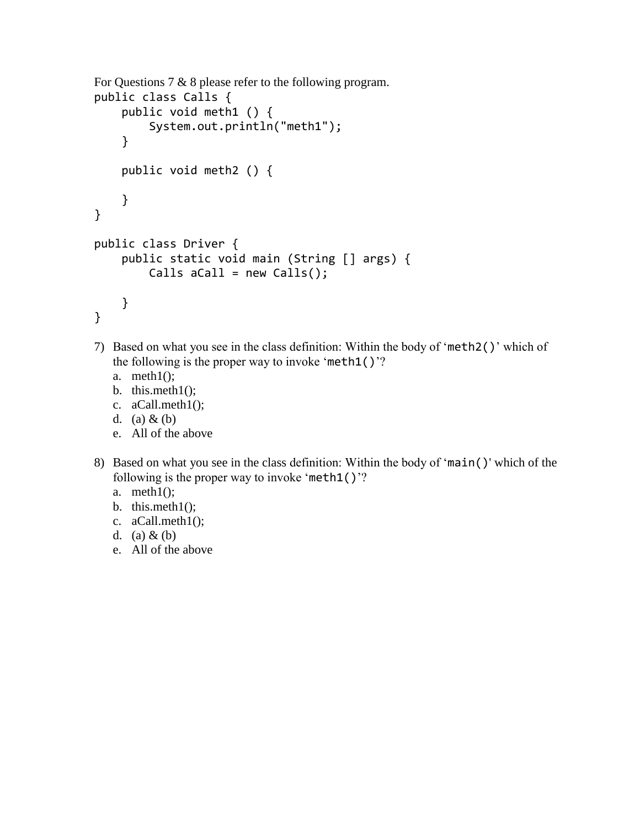```
For Questions 7 & 8 please refer to the following program.
public class Calls {
     public void meth1 () {
         System.out.println("meth1");
     }
     public void meth2 () { 
     }
}
public class Driver {
     public static void main (String [] args) {
        Calls aCall = new Calls();
     }
}
```
- 7) Based on what you see in the class definition: Within the body of 'meth2()' which of the following is the proper way to invoke 'meth $1()$ '?
	- a. meth1();
	- b. this.meth $1()$ ;
	- c. aCall.meth1();
	- d. (a)  $&$  (b)
	- e. All of the above
- 8) Based on what you see in the class definition: Within the body of 'main()' which of the following is the proper way to invoke 'meth1()'?
	- a. meth $1()$ ;
	- b. this.meth $1()$ ;
	- c. aCall.meth1();
	- d. (a)  $&$  (b)
	- e. All of the above